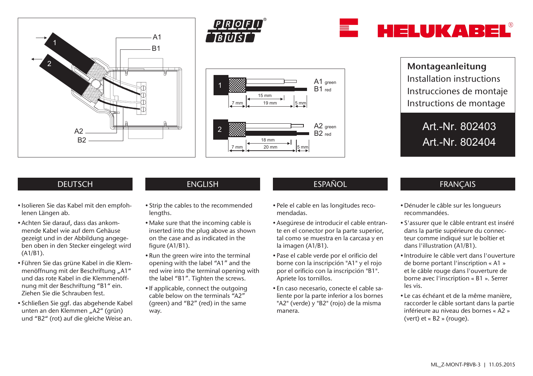







Montageanleitung Installation instructions Instrucciones de montaje Instructions de montage

> Art.-Nr. 802403 Art.-Nr. 802404

## **DEUTSCH**

- Isolieren Sie das Kabel mit den empfohlenen Längen ab.
- Achten Sie darauf, dass das ankommende Kabel wie auf dem Gehäuse gezeigt und in der Abbildung angegeben oben in den Stecker eingelegt wird (A1/B1).
- Führen Sie das grüne Kabel in die Klemmenöffnung mit der Beschriftung "A1" und das rote Kabel in die Klemmenöffnung mit der Beschriftung "B1" ein. Ziehen Sie die Schrauben fest.
- Schließen Sie ggf. das abgehende Kabel unten an den Klemmen "A2" (grün) und "B2" (rot) auf die gleiche Weise an.

- Strip the cables to the recommended lengths.
- Make sure that the incoming cable is inserted into the plug above as shown on the case and as indicated in the figure (A1/B1).
- Run the green wire into the terminal opening with the label "A1" and the red wire into the terminal opening with the label "B1". Tighten the screws.
- If applicable, connect the outgoing cable below on the terminals "A2" (green) and "B2" (red) in the same way.

# ENGLISH ESPAÑOL ESPAÑOL FRANÇAIS

- Pele el cable en las longitudes recomendadas.
- Asegúrese de introducir el cable entrante en el conector por la parte superior, tal como se muestra en la carcasa y en la imagen (A1/B1).
- Pase el cable verde por el orificio del borne con la inscripción "A1" y el rojo por el orificio con la inscripción "B1". Apriete los tornillos.
- En caso necesario, conecte el cable saliente por la parte inferior a los bornes "A2" (verde) y "B2" (rojo) de la misma manera.

- Dénuder le câble sur les longueurs recommandées.
- S'assurer que le câble entrant est inséré dans la partie supérieure du connecteur comme indiqué sur le boîtier et dans l'illustration (A1/B1).
- Introduire le câble vert dans l'ouverture de borne portant l'inscription « A1 » et le câble rouge dans l'ouverture de borne avec l'inscription « B1 ». Serrer les vis.
- Le cas échéant et de la même manière, raccorder le câble sortant dans la partie inférieure au niveau des bornes « A2 » (vert) et « B2 » (rouge).